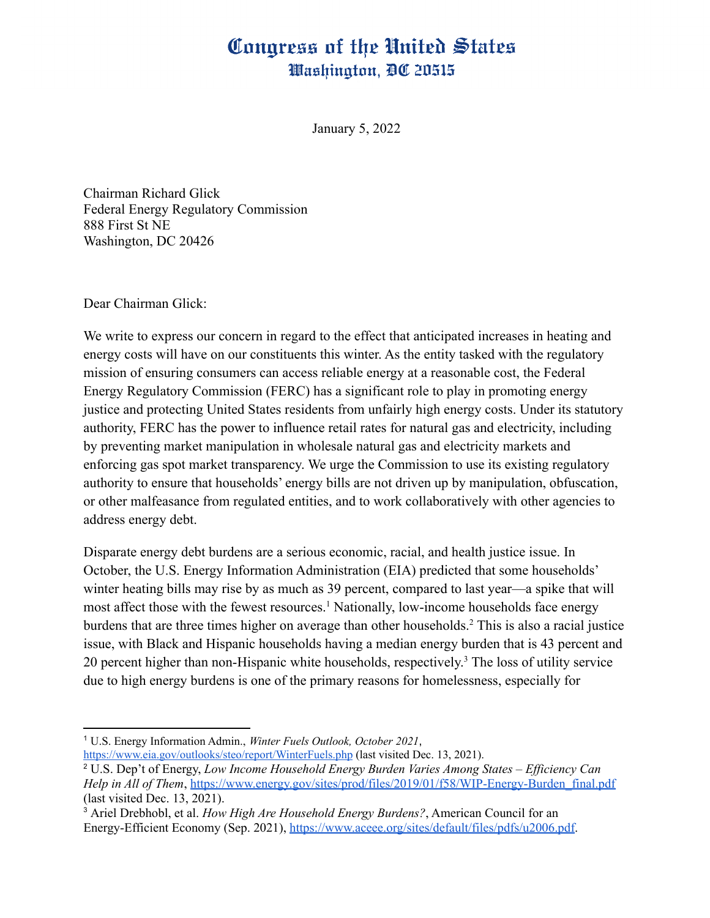January 5, 2022

Chairman Richard Glick Federal Energy Regulatory Commission 888 First St NE Washington, DC 20426

Dear Chairman Glick:

We write to express our concern in regard to the effect that anticipated increases in heating and energy costs will have on our constituents this winter. As the entity tasked with the regulatory mission of ensuring consumers can access reliable energy at a reasonable cost, the Federal Energy Regulatory Commission (FERC) has a significant role to play in promoting energy justice and protecting United States residents from unfairly high energy costs. Under its statutory authority, FERC has the power to influence retail rates for natural gas and electricity, including by preventing market manipulation in wholesale natural gas and electricity markets and enforcing gas spot market transparency. We urge the Commission to use its existing regulatory authority to ensure that households' energy bills are not driven up by manipulation, obfuscation, or other malfeasance from regulated entities, and to work collaboratively with other agencies to address energy debt.

Disparate energy debt burdens are a serious economic, racial, and health justice issue. In October, the U.S. Energy Information Administration (EIA) predicted that some households' winter heating bills may rise by as much as 39 percent, compared to last year—a spike that will most affect those with the fewest resources.<sup>1</sup> Nationally, low-income households face energy burdens that are three times higher on average than other households.<sup>2</sup> This is also a racial justice issue, with Black and Hispanic households having a median energy burden that is 43 percent and 20 percent higher than non-Hispanic white households, respectively. <sup>3</sup> The loss of utility service due to high energy burdens is one of the primary reasons for homelessness, especially for

<sup>1</sup> U.S. Energy Information Admin., *Winter Fuels Outlook, October 2021*[,](https://www.eia.gov/outlooks/steo/report/WinterFuels.php) <https://www.eia.gov/outlooks/steo/report/WinterFuels.php> (last visited Dec. 13, 2021).

<sup>2</sup> U.S. Dep't of Energy, *Low Income Household Energy Burden Varies Among States – Ef iciency Can Help in All of Them*, [https://www.energy.gov/sites/prod/files/2019/01/f58/WIP-Energy-Burden\\_final.pdf](https://www.energy.gov/sites/prod/files/2019/01/f58/WIP-Energy-Burden_final.pdf) (last visited Dec. 13, 2021).

<sup>3</sup> Ariel Drebhobl, et al. *How High Are Household Energy Burdens?*, American Council for an Energy-Efficient Economy (Sep. 2021), [https://www.aceee.org/sites/default/files/pdfs/u2006.pdf.](https://www.aceee.org/sites/default/files/pdfs/u2006.pdf)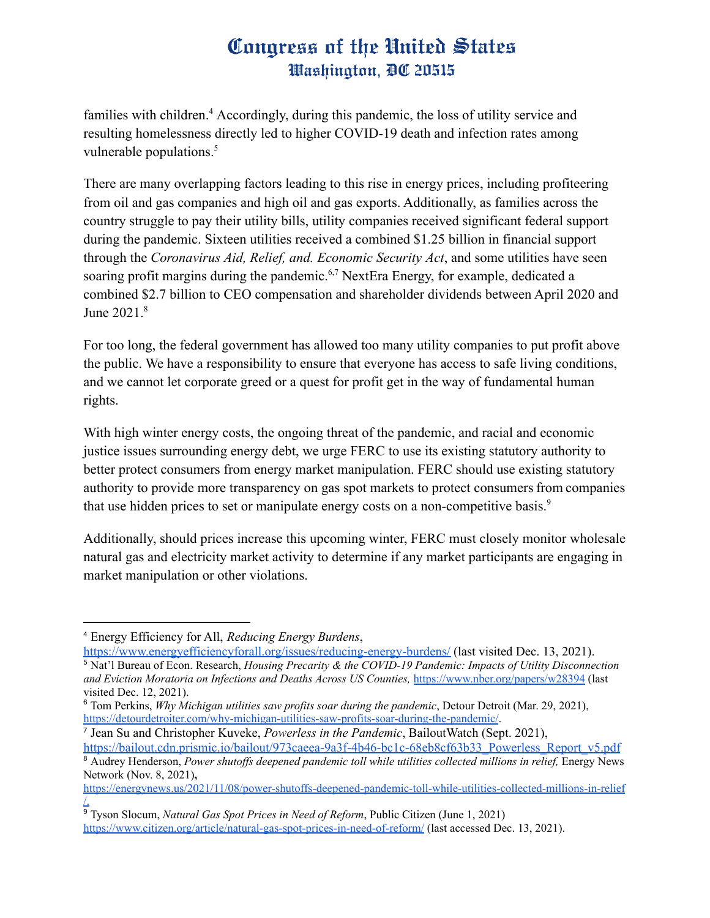families with children.<sup>4</sup> Accordingly, during this pandemic, the loss of utility service and resulting homelessness directly led to higher COVID-19 death and infection rates among vulnerable populations.<sup>5</sup>

There are many overlapping factors leading to this rise in energy prices, including profiteering from oil and gas companies and high oil and gas exports. Additionally, as families across the country struggle to pay their utility bills, utility companies received significant federal support during the pandemic. Sixteen utilities received a combined \$1.25 billion in financial support through the *Coronavirus Aid, Relief, and. Economic Security Act*, and some utilities have seen soaring profit margins during the pandemic.<sup>6,7</sup> NextEra Energy, for example, dedicated a combined \$2.7 billion to CEO compensation and shareholder dividends between April 2020 and June 2021.<sup>8</sup>

For too long, the federal government has allowed too many utility companies to put profit above the public. We have a responsibility to ensure that everyone has access to safe living conditions, and we cannot let corporate greed or a quest for profit get in the way of fundamental human rights.

With high winter energy costs, the ongoing threat of the pandemic, and racial and economic justice issues surrounding energy debt, we urge FERC to use its existing statutory authority to better protect consumers from energy market manipulation. FERC should use existing statutory authority to provide more transparency on gas spot markets to protect consumers from companies that use hidden prices to set or manipulate energy costs on a non-competitive basis.<sup>9</sup>

Additionally, should prices increase this upcoming winter, FERC must closely monitor wholesale natural gas and electricity market activity to determine if any market participants are engaging in market manipulation or other violations.

<sup>4</sup> Energy Efficiency for All, *Reducing Energy Burdens*[,](https://www.energyefficiencyforall.org/issues/reducing-energy-burdens/)

<sup>5</sup> Nat'l Bureau of Econ. Research, *Housing Precarity & the COVID-19 Pandemic: Impacts of Utility Disconnection and Eviction Moratoria on Infections and Deaths Across US Counties,* <https://www.nber.org/papers/w28394> (last visited Dec. 12, 2021). <https://www.energyefficiencyforall.org/issues/reducing-energy-burdens/> (last visited Dec. 13, 2021).

<sup>6</sup> Tom Perkins, *Why Michigan utilities saw profits soar during the pandemic*, Detour Detroit (Mar. 29, 2021), <https://detourdetroiter.com/why-michigan-utilities-saw-profits-soar-during-the-pandemic/>.

<sup>7</sup> Jean Su and Christopher Kuveke, *Powerless in the Pandemic*, BailoutWatch (Sept. 2021),

<sup>&</sup>lt;sup>8</sup> Audrey Henderson, *Power shutoffs deepened pandemic toll while utilities collected millions in relief, Energy News* Network (Nov. 8, 2021)**[,](https://energynews.us/2021/11/08/power-shutoffs-deepened-pandemic-toll-while-utilities-collected-millions-in-relief/)** [https://bailout.cdn.prismic.io/bailout/973caeea-9a3f-4b46-bc1c-68eb8cf63b33\\_Powerless\\_Report\\_v5.pdf](https://bailout.cdn.prismic.io/bailout/973caeea-9a3f-4b46-bc1c-68eb8cf63b33_Powerless_Report_v5.pdf)

[https://energynews.us/2021/11/08/power-shutoffs-deepened-pandemic-toll-while-utilities-collected-millions-in-relief](https://energynews.us/2021/11/08/power-shutoffs-deepened-pandemic-toll-while-utilities-collected-millions-in-relief/) [/.](https://energynews.us/2021/11/08/power-shutoffs-deepened-pandemic-toll-while-utilities-collected-millions-in-relief/)

<sup>9</sup> Tyson Slocum, *Natural Gas Spot Prices in Need of Reform*, Public Citizen (June 1, 2021) <https://www.citizen.org/article/natural-gas-spot-prices-in-need-of-reform/> (last accessed Dec. 13, 2021).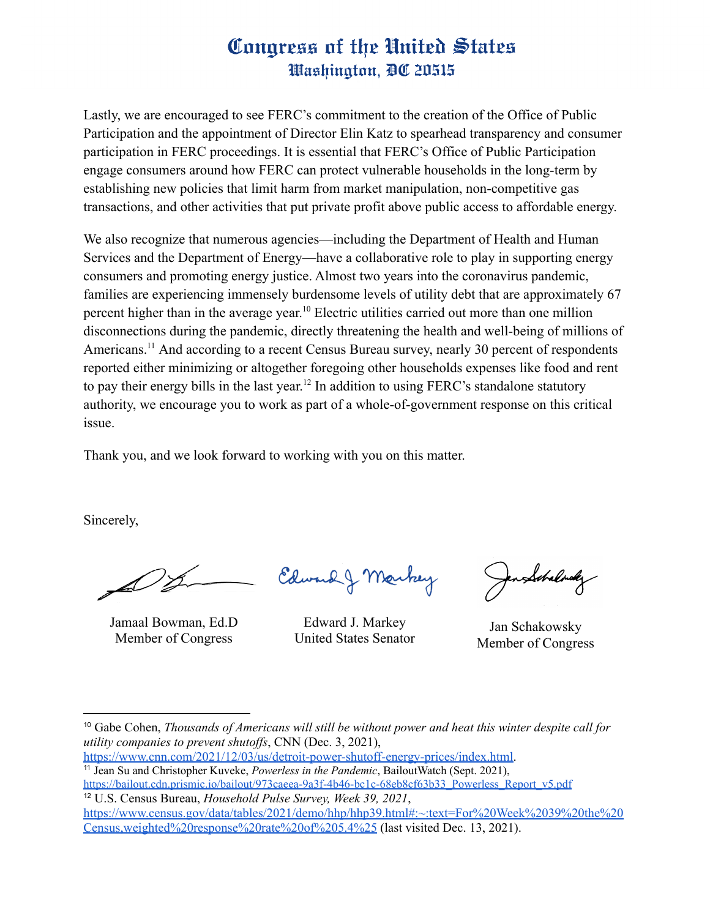Lastly, we are encouraged to see FERC's commitment to the creation of the Office of Public Participation and the appointment of Director Elin Katz to spearhead transparency and consumer participation in FERC proceedings. It is essential that FERC's Office of Public Participation engage consumers around how FERC can protect vulnerable households in the long-term by establishing new policies that limit harm from market manipulation, non-competitive gas transactions, and other activities that put private profit above public access to affordable energy.

We also recognize that numerous agencies—including the Department of Health and Human Services and the Department of Energy—have a collaborative role to play in supporting energy consumers and promoting energy justice. Almost two years into the coronavirus pandemic, families are experiencing immensely burdensome levels of utility debt that are approximately 67 percent higher than in the average year. <sup>10</sup> Electric utilities carried out more than one million disconnections during the pandemic, directly threatening the health and well-being of millions of Americans.<sup>11</sup> And according to a recent Census Bureau survey, nearly 30 percent of respondents reported either minimizing or altogether foregoing other households expenses like food and rent to pay their energy bills in the last year.<sup>12</sup> In addition to using FERC's standalone statutory authority, we encourage you to work as part of a whole-of-government response on this critical issue.

Thank you, and we look forward to working with you on this matter.

Sincerely,

Jamaal Bowman, Ed.D Member of Congress

Edward J Markey

Edward J. Markey United States Senator

Indebalde

Jan Schakowsky Member of Congress

<sup>10</sup> Gabe Cohen, *Thousands of Americans will still be without power and heat this winter despite call for utility companies to prevent shutof s*, CNN (Dec. 3, 2021),

<sup>11</sup> Jean Su and Christopher Kuveke, *Powerless in the Pandemic*, BailoutWatch (Sept. 2021), [https://www.cnn.com/2021/12/03/us/detroit-power-shutoff-energy-prices/index.html.](https://www.cnn.com/2021/12/03/us/detroit-power-shutoff-energy-prices/index.html)

<sup>12</sup> U.S. Census Bureau, *Household Pulse Survey, Week 39, 2021*, [https://bailout.cdn.prismic.io/bailout/973caeea-9a3f-4b46-bc1c-68eb8cf63b33\\_Powerless\\_Report\\_v5.pdf](https://bailout.cdn.prismic.io/bailout/973caeea-9a3f-4b46-bc1c-68eb8cf63b33_Powerless_Report_v5.pdf)

[https://www.census.gov/data/tables/2021/demo/hhp/hhp39.html#:~:text=For%20Week%2039%20the%20](https://www.census.gov/data/tables/2021/demo/hhp/hhp39.html#:~:text=For%20Week%2039%20the%20Census,weighted%20response%20rate%20of%205.4%25) [Census,weighted%20response%20rate%20of%205.4%25](https://www.census.gov/data/tables/2021/demo/hhp/hhp39.html#:~:text=For%20Week%2039%20the%20Census,weighted%20response%20rate%20of%205.4%25) (last visited Dec. 13, 2021).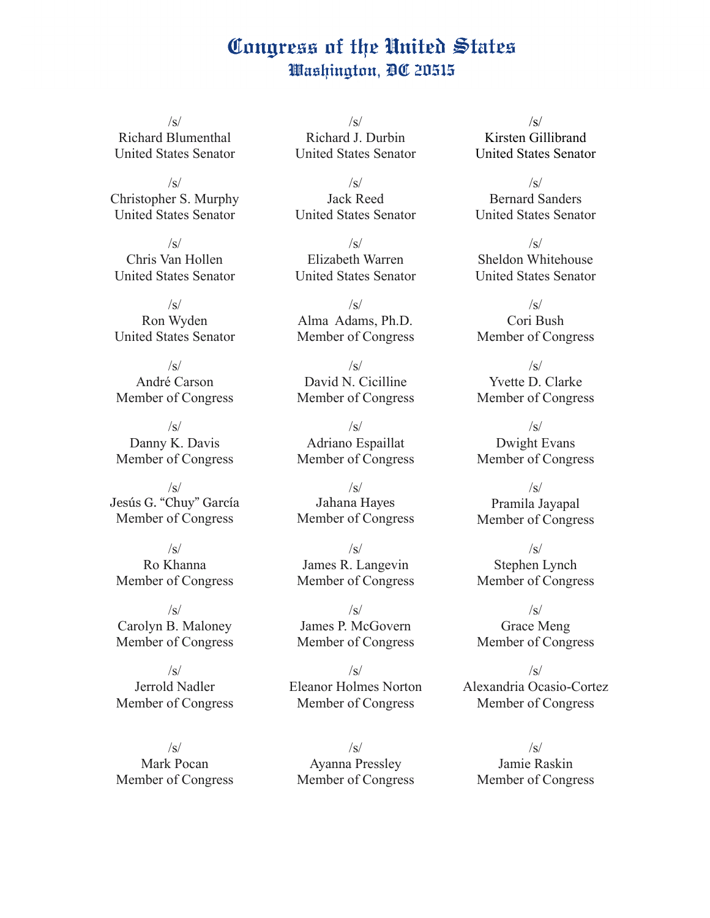$\sqrt{s}$ Richard Blumenthal United States Senator

/s/ Christopher S. Murphy United States Senator

 $\sqrt{s}$ Chris Van Hollen United States Senator

 $\sqrt{s}$ Ron Wyden United States Senator

 $\sqrt{s}$ André Carson Member of Congress

 $\sqrt{s}$ Danny K. Davis Member of Congress

 $\sqrt{s}$ Jesús G. "Chuy" García Member of Congress

 $\sqrt{s}$ Ro Khanna Member of Congress

 $\sqrt{s}$ Carolyn B. Maloney Member of Congress

 $\sqrt{s}$ Jerrold Nadler Member of Congress

 $\sqrt{s}$ Mark Pocan Member of Congress

 $\sqrt{s}$ Richard J. Durbin United States Senator

/s/ Jack Reed United States Senator

 $\sqrt{s}$ Elizabeth Warren United States Senator

 $\sqrt{s}$ Alma Adams, Ph.D. Member of Congress

 $\sqrt{s}$ David N. Cicilline Member of Congress

 $\sqrt{s}$ Adriano Espaillat Member of Congress

 $\sqrt{s}$ Jahana Hayes Member of Congress

/s/ James R. Langevin Member of Congress

 $\sqrt{s}$ James P. McGovern Member of Congress

 $\sqrt{s}$ Eleanor Holmes Norton Member of Congress

 $\sqrt{s}$ Ayanna Pressley Member of Congress

/s/ Kirsten Gillibrand United States Senator

/s/ Bernard Sanders United States Senator

 $\sqrt{s}$ Sheldon Whitehouse United States Senator

 $\sqrt{s}$ Cori Bush Member of Congress

 $\sqrt{s}$ Yvette D. Clarke Member of Congress

 $\sqrt{s}$ Dwight Evans Member of Congress

 $\sqrt{s}$ Pramila Jayapal Member of Congress

/s/ Stephen Lynch Member of Congress

/s/ Grace Meng Member of Congress

 $\sqrt{s}$ Alexandria Ocasio-Cortez Member of Congress

 $\sqrt{s}$ Jamie Raskin Member of Congress